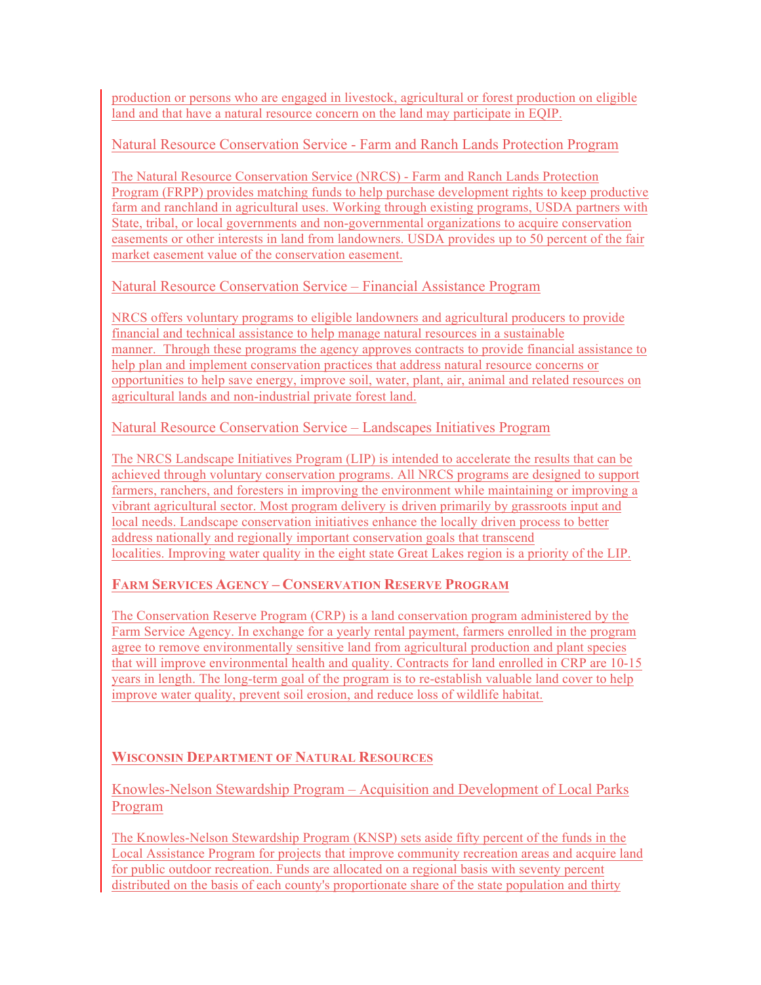production or persons who are engaged in livestock, agricultural or forest production on eligible land and that have a natural resource concern on the land may participate in EQIP.

## Natural Resource Conservation Service - Farm and Ranch Lands Protection Program

The Natural Resource Conservation Service (NRCS) - Farm and Ranch Lands Protection Program (FRPP) provides matching funds to help purchase development rights to keep productive farm and ranchland in agricultural uses. Working through existing programs, USDA partners with State, tribal, or local governments and non-governmental organizations to acquire conservation easements or other interests in land from landowners. USDA provides up to 50 percent of the fair market easement value of the conservation easement.

Natural Resource Conservation Service – Financial Assistance Program

NRCS offers voluntary programs to eligible landowners and agricultural producers to provide financial and technical assistance to help manage natural resources in a sustainable manner. Through these programs the agency approves contracts to provide financial assistance to help plan and implement conservation practices that address natural resource concerns or opportunities to help save energy, improve soil, water, plant, air, animal and related resources on agricultural lands and non-industrial private forest land.

# Natural Resource Conservation Service – Landscapes Initiatives Program

The NRCS Landscape Initiatives Program (LIP) is intended to accelerate the results that can be achieved through voluntary conservation programs. All NRCS programs are designed to support farmers, ranchers, and foresters in improving the environment while maintaining or improving a vibrant agricultural sector. Most program delivery is driven primarily by grassroots input and local needs. Landscape conservation initiatives enhance the locally driven process to better address nationally and regionally important conservation goals that transcend localities. Improving water quality in the eight state Great Lakes region is a priority of the LIP.

# **FARM SERVICES AGENCY – CONSERVATION RESERVE PROGRAM**

The Conservation Reserve Program (CRP) is a land conservation program administered by the Farm Service Agency. In exchange for a yearly rental payment, farmers enrolled in the program agree to remove environmentally sensitive land from agricultural production and plant species that will improve environmental health and quality. Contracts for land enrolled in CRP are 10-15 years in length. The long-term goal of the program is to re-establish valuable land cover to help improve water quality, prevent soil erosion, and reduce loss of wildlife habitat.

# **WISCONSIN DEPARTMENT OF NATURAL RESOURCES**

Knowles-Nelson Stewardship Program – Acquisition and Development of Local Parks Program

The Knowles-Nelson Stewardship Program (KNSP) sets aside fifty percent of the funds in the Local Assistance Program for projects that improve community recreation areas and acquire land for public outdoor recreation. Funds are allocated on a regional basis with seventy percent distributed on the basis of each county's proportionate share of the state population and thirty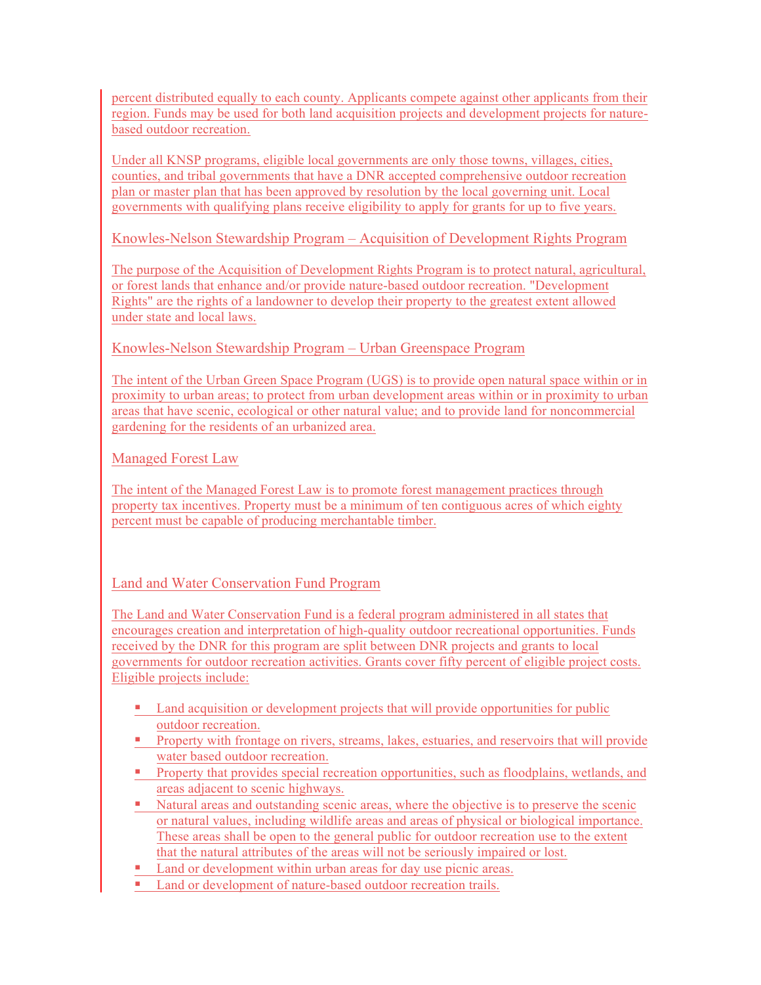percent distributed equally to each county. Applicants compete against other applicants from their region. Funds may be used for both land acquisition projects and development projects for naturebased outdoor recreation.

Under all KNSP programs, eligible local governments are only those towns, villages, cities, counties, and tribal governments that have a DNR accepted comprehensive outdoor recreation plan or master plan that has been approved by resolution by the local governing unit. Local governments with qualifying plans receive eligibility to apply for grants for up to five years.

Knowles-Nelson Stewardship Program – Acquisition of Development Rights Program

The purpose of the Acquisition of Development Rights Program is to protect natural, agricultural, or forest lands that enhance and/or provide nature-based outdoor recreation. "Development Rights" are the rights of a landowner to develop their property to the greatest extent allowed under state and local laws.

Knowles-Nelson Stewardship Program – Urban Greenspace Program

The intent of the Urban Green Space Program (UGS) is to provide open natural space within or in proximity to urban areas; to protect from urban development areas within or in proximity to urban areas that have scenic, ecological or other natural value; and to provide land for noncommercial gardening for the residents of an urbanized area.

Managed Forest Law

The intent of the Managed Forest Law is to promote forest management practices through property tax incentives. Property must be a minimum of ten contiguous acres of which eighty percent must be capable of producing merchantable timber.

Land and Water Conservation Fund Program

The Land and Water Conservation Fund is a federal program administered in all states that encourages creation and interpretation of high-quality outdoor recreational opportunities. Funds received by the DNR for this program are split between DNR projects and grants to local governments for outdoor recreation activities. Grants cover fifty percent of eligible project costs. Eligible projects include:

- ! Land acquisition or development projects that will provide opportunities for public outdoor recreation.
- ! Property with frontage on rivers, streams, lakes, estuaries, and reservoirs that will provide water based outdoor recreation.
- ! Property that provides special recreation opportunities, such as floodplains, wetlands, and areas adjacent to scenic highways.
- ! Natural areas and outstanding scenic areas, where the objective is to preserve the scenic or natural values, including wildlife areas and areas of physical or biological importance. These areas shall be open to the general public for outdoor recreation use to the extent that the natural attributes of the areas will not be seriously impaired or lost.
- ! Land or development within urban areas for day use picnic areas.
- Land or development of nature-based outdoor recreation trails.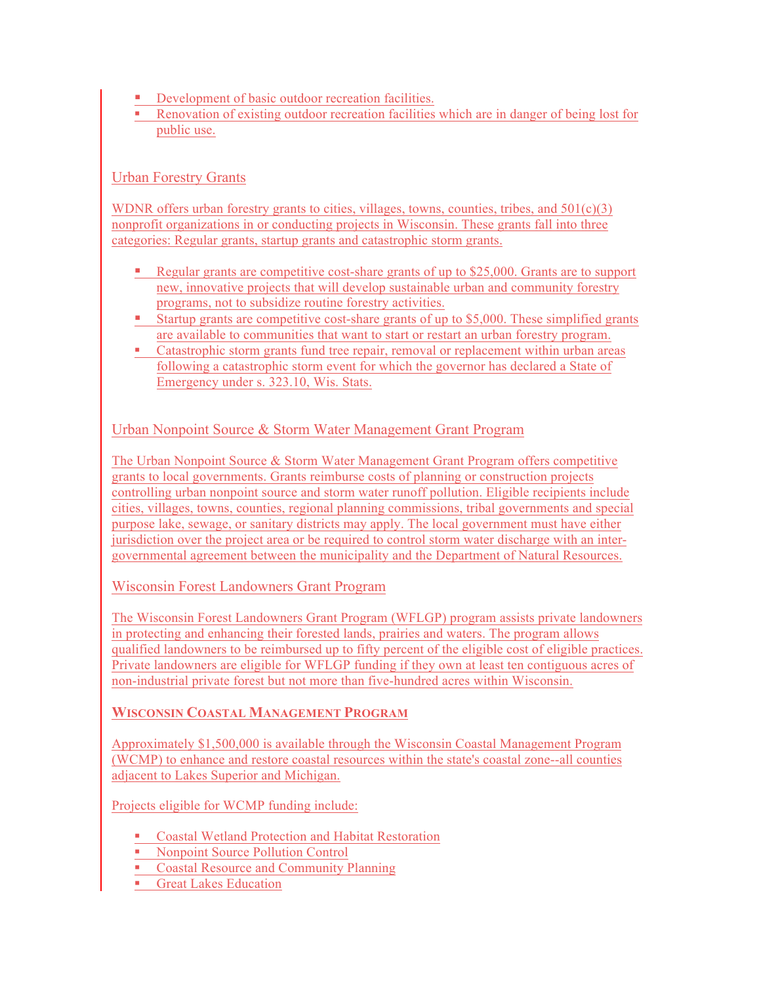- **•** Development of basic outdoor recreation facilities.
- ! Renovation of existing outdoor recreation facilities which are in danger of being lost for public use.

## Urban Forestry Grants

WDNR offers urban forestry grants to cities, villages, towns, counties, tribes, and  $501(c)(3)$ nonprofit organizations in or conducting projects in Wisconsin. These grants fall into three categories: Regular grants, startup grants and catastrophic storm grants.

- ! Regular grants are competitive cost-share grants of up to \$25,000. Grants are to support new, innovative projects that will develop sustainable urban and community forestry programs, not to subsidize routine forestry activities.
- ! Startup grants are competitive cost-share grants of up to \$5,000. These simplified grants are available to communities that want to start or restart an urban forestry program.
- ! Catastrophic storm grants fund tree repair, removal or replacement within urban areas following a catastrophic storm event for which the governor has declared a State of Emergency under s. 323.10, Wis. Stats.

## Urban Nonpoint Source & Storm Water Management Grant Program

The Urban Nonpoint Source & Storm Water Management Grant Program offers competitive grants to local governments. Grants reimburse costs of planning or construction projects controlling urban nonpoint source and storm water runoff pollution. Eligible recipients include cities, villages, towns, counties, regional planning commissions, tribal governments and special purpose lake, sewage, or sanitary districts may apply. The local government must have either jurisdiction over the project area or be required to control storm water discharge with an intergovernmental agreement between the municipality and the Department of Natural Resources.

## Wisconsin Forest Landowners Grant Program

The Wisconsin Forest Landowners Grant Program (WFLGP) program assists private landowners in protecting and enhancing their forested lands, prairies and waters. The program allows qualified landowners to be reimbursed up to fifty percent of the eligible cost of eligible practices. Private landowners are eligible for WFLGP funding if they own at least ten contiguous acres of non-industrial private forest but not more than five-hundred acres within Wisconsin.

## **WISCONSIN COASTAL MANAGEMENT PROGRAM**

Approximately \$1,500,000 is available through the Wisconsin Coastal Management Program (WCMP) to enhance and restore coastal resources within the state's coastal zone--all counties adjacent to Lakes Superior and Michigan.

Projects eligible for WCMP funding include:

- ! Coastal Wetland Protection and Habitat Restoration
- **EXECUTE:** Nonpoint Source Pollution Control
- **Exercise 2** Coastal Resource and Community Planning
- **Great Lakes Education**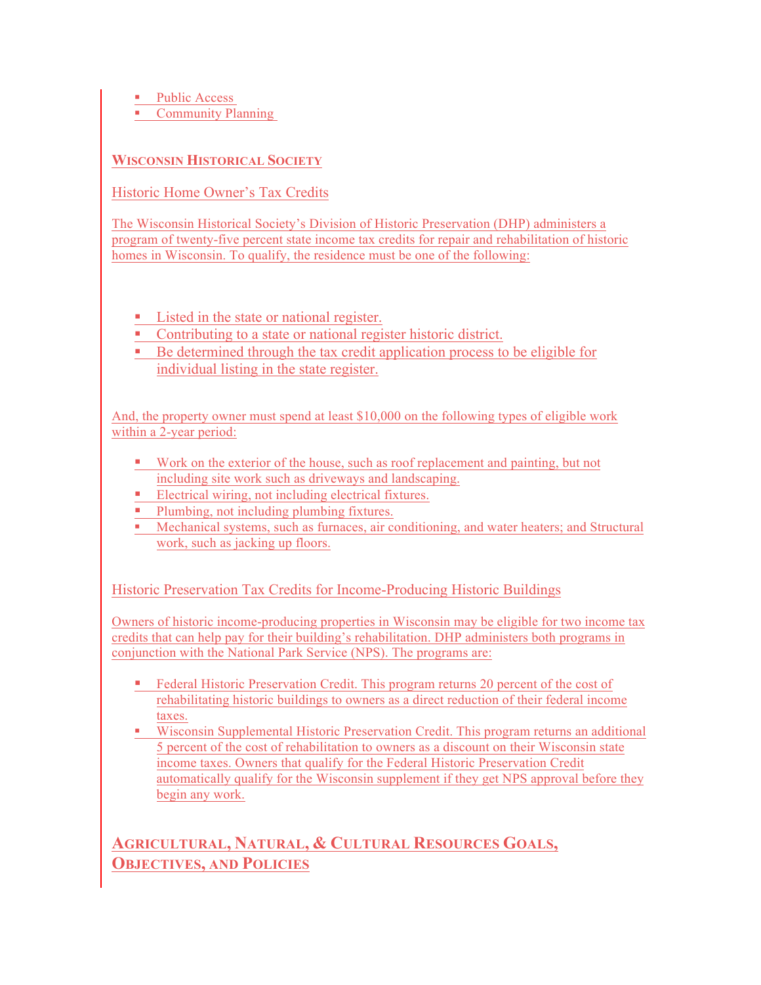■ Public Access

**Community Planning** 

# **WISCONSIN HISTORICAL SOCIETY**

Historic Home Owner's Tax Credits

The Wisconsin Historical Society's Division of Historic Preservation (DHP) administers a program of twenty-five percent state income tax credits for repair and rehabilitation of historic homes in Wisconsin. To qualify, the residence must be one of the following:

- Listed in the state or national register.
- ! Contributing to a state or national register historic district.
- ! Be determined through the tax credit application process to be eligible for individual listing in the state register.

And, the property owner must spend at least \$10,000 on the following types of eligible work within a 2-year period:

- ! Work on the exterior of the house, such as roof replacement and painting, but not including site work such as driveways and landscaping.
- Electrical wiring, not including electrical fixtures.
- **Plumbing, not including plumbing fixtures.**
- ! Mechanical systems, such as furnaces, air conditioning, and water heaters; and Structural work, such as jacking up floors.

Historic Preservation Tax Credits for Income-Producing Historic Buildings

Owners of historic income-producing properties in Wisconsin may be eligible for two income tax credits that can help pay for their building's rehabilitation. DHP administers both programs in conjunction with the National Park Service (NPS). The programs are:

- **Example 1** Federal Historic Preservation Credit. This program returns 20 percent of the cost of rehabilitating historic buildings to owners as a direct reduction of their federal income taxes.
- ! Wisconsin Supplemental Historic Preservation Credit. This program returns an additional 5 percent of the cost of rehabilitation to owners as a discount on their Wisconsin state income taxes. Owners that qualify for the Federal Historic Preservation Credit automatically qualify for the Wisconsin supplement if they get NPS approval before they begin any work.

**AGRICULTURAL, NATURAL, & CULTURAL RESOURCES GOALS, OBJECTIVES, AND POLICIES**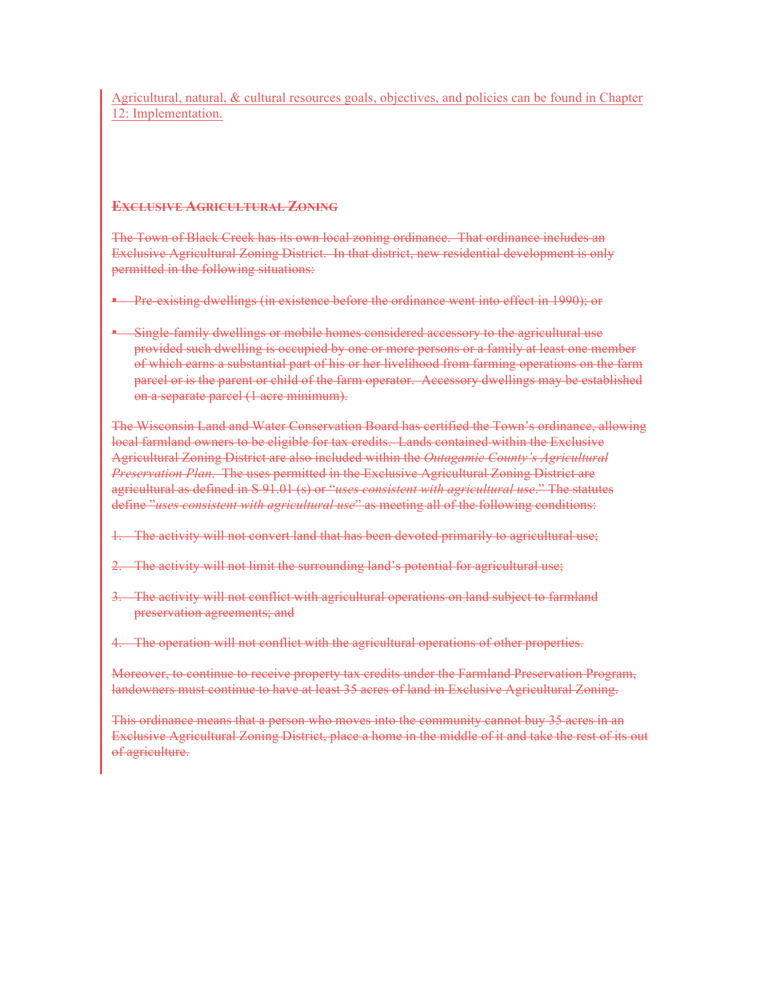Agricultural, natural, & cultural resources goals, objectives, and policies can be found in Chapter 12: Implementation.

#### **EXCLUSIVE AGRICULTURAL ZONING**

The Town of Black Creek has its own local zoning ordinance. That ordinance includes an Exclusive Agricultural Zoning District. In that district, new residential development is only permitted in the following situations:

- **Pre-existing dwellings (in existence before the ordinance went into effect in 1990); or**
- **EXILUST 2.5 Ingle-family dwellings or mobile homes considered accessory to the agricultural use** provided such dwelling is occupied by one or more persons or a family at least one member of which earns a substantial part of his or her livelihood from farming operations on the farm parcel or is the parent or child of the farm operator. Accessory dwellings may be established on a separate parcel (1 acre minimum).

The Wisconsin Land and Water Conservation Board has certified the Town's ordinance, allowing local farmland owners to be eligible for tax credits. Lands contained within the Exclusive Agricultural Zoning District are also included within the *Outagamie County's Agricultural Preservation Plan*. The uses permitted in the Exclusive Agricultural Zoning District are agricultural as defined in S 91.01 (s) or "*uses consistent with agricultural use*." The statutes define "*uses consistent with agricultural use*" as meeting all of the following conditions:

- 1. The activity will not convert land that has been devoted primarily to agricultural use;
- 2. The activity will not limit the surrounding land's potential for agricultural use;
- 3. The activity will not conflict with agricultural operations on land subject to farmland preservation agreements; and
- 4. The operation will not conflict with the agricultural operations of other properties.

Moreover, to continue to receive property tax credits under the Farmland Preservation Program, landowners must continue to have at least 35 acres of land in Exclusive Agricultural Zoning.

This ordinance means that a person who moves into the community cannot buy 35 acres in an Exclusive Agricultural Zoning District, place a home in the middle of it and take the rest of its out of agriculture.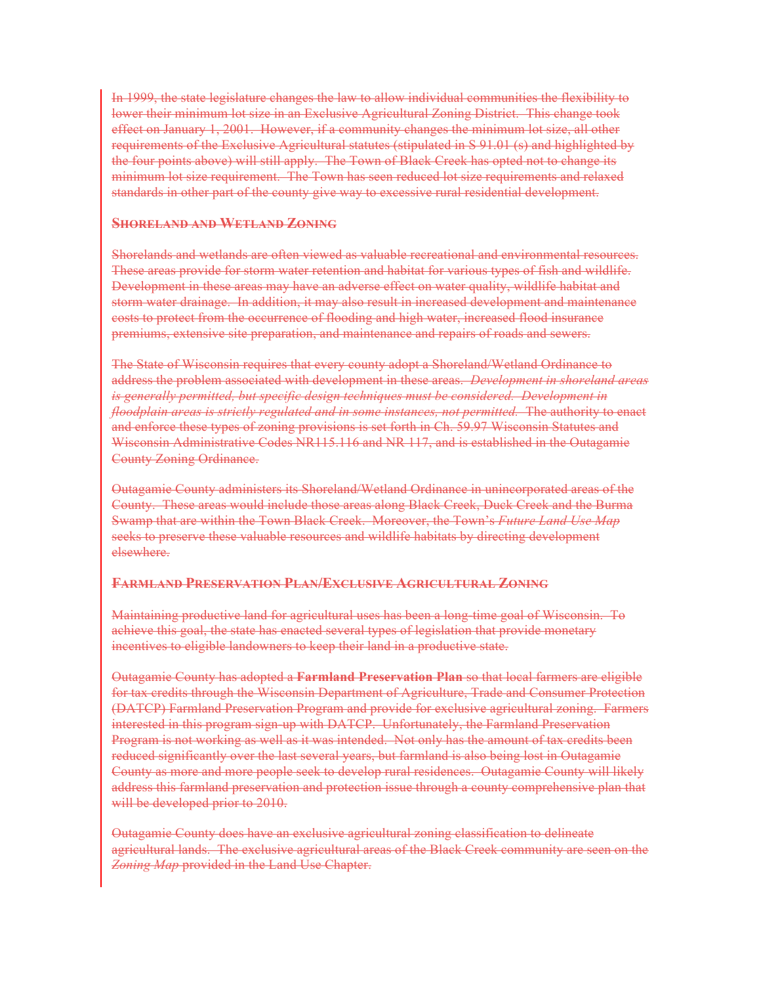In 1999, the state legislature changes the law to allow individual communities the flexibility to lower their minimum lot size in an Exclusive Agricultural Zoning District. This change took effect on January 1, 2001. However, if a community changes the minimum lot size, all other requirements of the Exclusive Agricultural statutes (stipulated in S 91.01 (s) and highlighted by the four points above) will still apply. The Town of Black Creek has opted not to change its minimum lot size requirement. The Town has seen reduced lot size requirements and relaxed standards in other part of the county give way to excessive rural residential development.

#### **SHORELAND AND WETLAND ZONING**

Shorelands and wetlands are often viewed as valuable recreational and environmental resources. These areas provide for storm water retention and habitat for various types of fish and wildlife. Development in these areas may have an adverse effect on water quality, wildlife habitat and storm water drainage. In addition, it may also result in increased development and maintenance costs to protect from the occurrence of flooding and high water, increased flood insurance premiums, extensive site preparation, and maintenance and repairs of roads and sewers.

The State of Wisconsin requires that every county adopt a Shoreland/Wetland Ordinance to address the problem associated with development in these areas. *Development in shoreland areas is generally permitted, but specific design techniques must be considered. Development in floodplain areas is strictly regulated and in some instances, not permitted.* The authority to enact and enforce these types of zoning provisions is set forth in Ch. 59.97 Wisconsin Statutes and Wisconsin Administrative Codes NR115.116 and NR 117, and is established in the Outagamie County Zoning Ordinance.

Outagamie County administers its Shoreland/Wetland Ordinance in unincorporated areas of the County. These areas would include those areas along Black Creek, Duck Creek and the Burma Swamp that are within the Town Black Creek. Moreover, the Town's *Future Land Use Map*  seeks to preserve these valuable resources and wildlife habitats by directing development elsewhere.

#### **FARMLAND PRESERVATION PLAN/EXCLUSIVE AGRICULTURAL ZONING**

Maintaining productive land for agricultural uses has been a long-time goal of Wisconsin. To achieve this goal, the state has enacted several types of legislation that provide monetary incentives to eligible landowners to keep their land in a productive state.

Outagamie County has adopted a **Farmland Preservation Plan** so that local farmers are eligible for tax credits through the Wisconsin Department of Agriculture, Trade and Consumer Protection (DATCP) Farmland Preservation Program and provide for exclusive agricultural zoning. Farmers interested in this program sign-up with DATCP. Unfortunately, the Farmland Preservation Program is not working as well as it was intended. Not only has the amount of tax credits been reduced significantly over the last several years, but farmland is also being lost in Outagamie County as more and more people seek to develop rural residences. Outagamie County will likely address this farmland preservation and protection issue through a county comprehensive plan that will be developed prior to 2010.

Outagamie County does have an exclusive agricultural zoning classification to delineate agricultural lands. The exclusive agricultural areas of the Black Creek community are seen on the *Zoning Map* provided in the Land Use Chapter.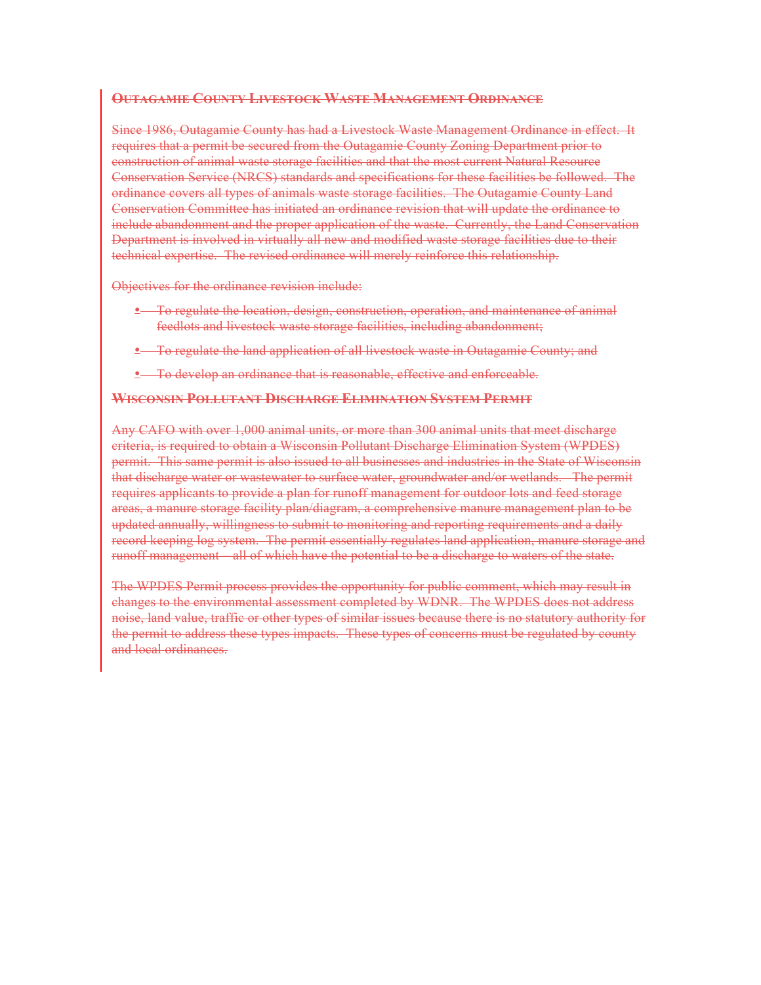#### **OUTAGAMIE COUNTY LIVESTOCK WASTE MANAGEMENT ORDINANCE**

Since 1986, Outagamie County has had a Livestock Waste Management Ordinance in effect. It requires that a permit be secured from the Outagamie County Zoning Department prior to construction of animal waste storage facilities and that the most current Natural Resource Conservation Service (NRCS) standards and specifications for these facilities be followed. The ordinance covers all types of animals waste storage facilities. The Outagamie County Land Conservation Committee has initiated an ordinance revision that will update the ordinance to include abandonment and the proper application of the waste. Currently, the Land Conservation Department is involved in virtually all new and modified waste storage facilities due to their technical expertise. The revised ordinance will merely reinforce this relationship.

Objectives for the ordinance revision include:

- To regulate the location, design, construction, operation, and maintenance of animal feedlots and livestock waste storage facilities, including abandonment;
- To regulate the land application of all livestock waste in Outagamie County; and
- To develop an ordinance that is reasonable, effective and enforceable.

#### **WISCONSIN POLLUTANT DISCHARGE ELIMINATION SYSTEM PERMIT**

Any CAFO with over 1,000 animal units, or more than 300 animal units that meet discharge criteria, is required to obtain a Wisconsin Pollutant Discharge Elimination System (WPDES) permit. This same permit is also issued to all businesses and industries in the State of Wisconsin that discharge water or wastewater to surface water, groundwater and/or wetlands. The permit requires applicants to provide a plan for runoff management for outdoor lots and feed storage areas, a manure storage facility plan/diagram, a comprehensive manure management plan to be updated annually, willingness to submit to monitoring and reporting requirements and a daily record keeping log system. The permit essentially regulates land application, manure storage and runoff management – all of which have the potential to be a discharge to waters of the state.

The WPDES Permit process provides the opportunity for public comment, which may result in changes to the environmental assessment completed by WDNR. The WPDES does not address noise, land value, traffic or other types of similar issues because there is no statutory authority for the permit to address these types impacts. These types of concerns must be regulated by county and local ordinances.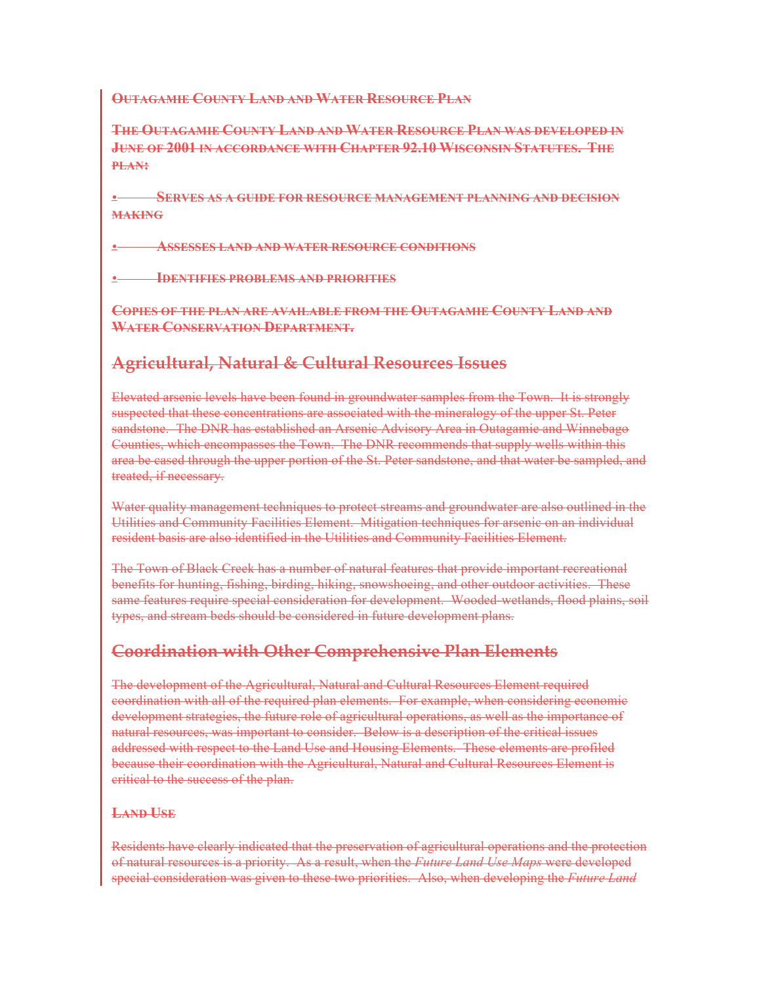## **OUTAGAMIE COUNTY LAND AND WATER RESOURCE PLAN**

**THE OUTAGAMIE COUNTY LAND AND WATER RESOURCE PLAN WAS DEVELOPED IN JUNE OF 2001 IN ACCORDANCE WITH CHAPTER 92.10 WISCONSIN STATUTES. THE PLAN:**

• **SERVES AS A GUIDE FOR RESOURCE MANAGEMENT PLANNING AND DECISION MAKING**

• **ASSESSES LAND AND WATER RESOURCE CONDITIONS**

• **IDENTIFIES PROBLEMS AND PRIORITIES**

**COPIES OF THE PLAN ARE AVAILABLE FROM THE OUTAGAMIE COUNTY LAND AND WATER CONSERVATION DEPARTMENT.**

# **Agricultural, Natural & Cultural Resources Issues**

Elevated arsenic levels have been found in groundwater samples from the Town. It is strongly suspected that these concentrations are associated with the mineralogy of the upper St. Peter sandstone. The DNR has established an Arsenic Advisory Area in Outagamie and Winnebago Counties, which encompasses the Town. The DNR recommends that supply wells within this area be cased through the upper portion of the St. Peter sandstone, and that water be sampled, and treated, if necessary.

Water quality management techniques to protect streams and groundwater are also outlined in the Utilities and Community Facilities Element. Mitigation techniques for arsenic on an individual resident basis are also identified in the Utilities and Community Facilities Element.

The Town of Black Creek has a number of natural features that provide important recreational benefits for hunting, fishing, birding, hiking, snowshoeing, and other outdoor activities. These same features require special consideration for development. Wooded-wetlands, flood plains, soil types, and stream beds should be considered in future development plans.

# **Coordination with Other Comprehensive Plan Elements**

The development of the Agricultural, Natural and Cultural Resources Element required coordination with all of the required plan elements. For example, when considering economic development strategies, the future role of agricultural operations, as well as the importance of natural resources, was important to consider. Below is a description of the critical issues addressed with respect to the Land Use and Housing Elements. These elements are profiled because their coordination with the Agricultural, Natural and Cultural Resources Element is critical to the success of the plan.

## **LAND USE**

Residents have clearly indicated that the preservation of agricultural operations and the protection of natural resources is a priority. As a result, when the *Future Land Use Maps* were developed special consideration was given to these two priorities. Also, when developing the *Future Land*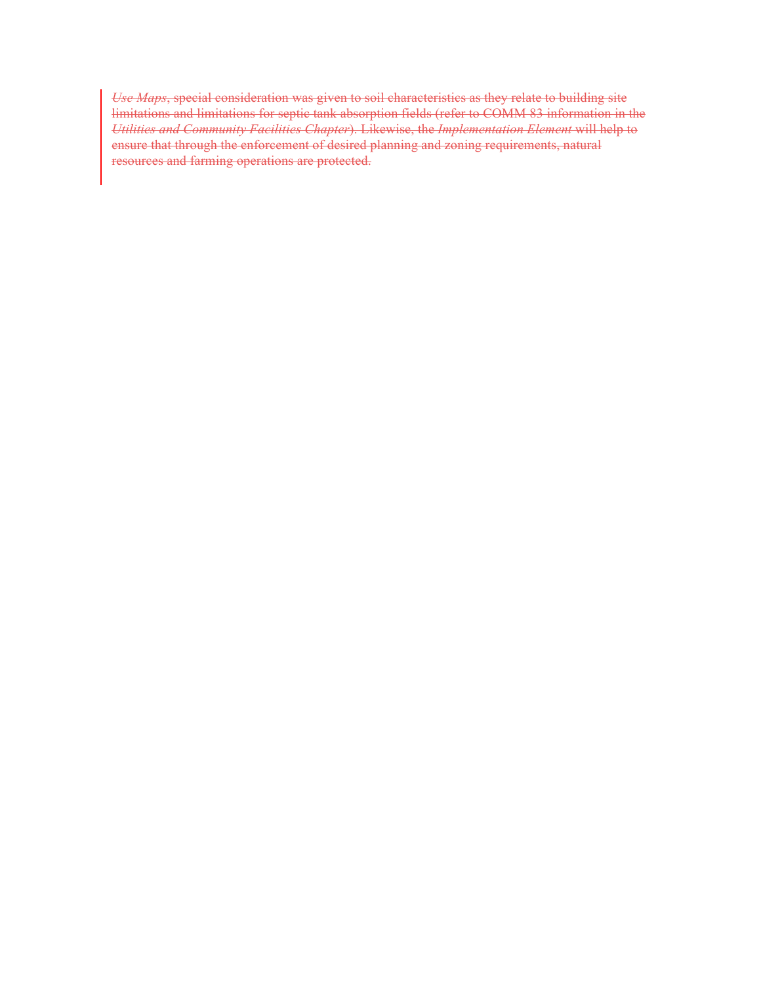*Use Maps*, special consideration was given to soil characteristics as they relate to building site limitations and limitations for septic tank absorption fields (refer to COMM 83 information in the *Utilities and Community Facilities Chapter*). Likewise, the *Implementation Element* will help to ensure that through the enforcement of desired planning and zoning requirements, natural resources and farming operations are protected.